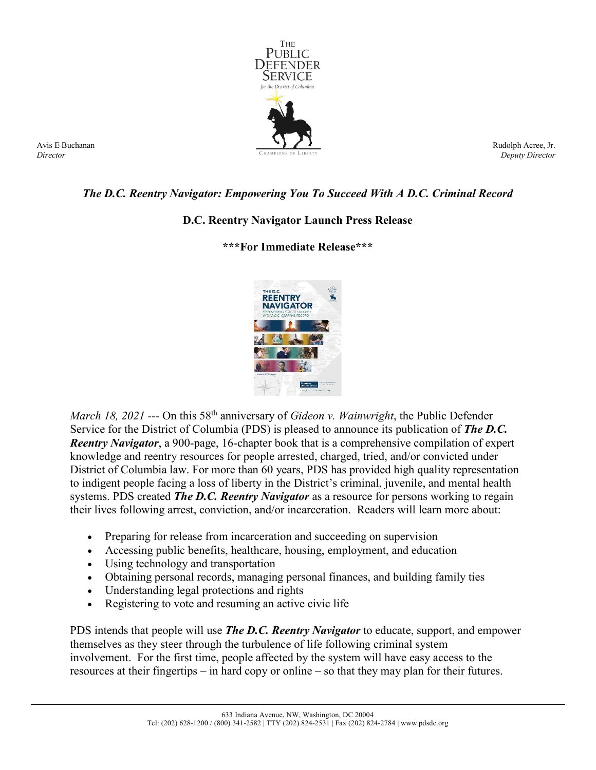

Avis E Buchanan *Director*

Rudolph Acree, Jr. *Deputy Director*

## *The D.C. Reentry Navigator: Empowering You To Succeed With A D.C. Criminal Record*

## **D.C. Reentry Navigator Launch Press Release**

## **\*\*\*For Immediate Release\*\*\***



*March 18, 2021* --- On this 58<sup>th</sup> anniversary of *Gideon v. Wainwright*, the Public Defender Service for the District of Columbia (PDS) is pleased to announce its publication of *The D.C. Reentry Navigator*, a 900-page, 16-chapter book that is a comprehensive compilation of expert knowledge and reentry resources for people arrested, charged, tried, and/or convicted under District of Columbia law. For more than 60 years, PDS has provided high quality representation to indigent people facing a loss of liberty in the District's criminal, juvenile, and mental health systems. PDS created *The D.C. Reentry Navigator* as a resource for persons working to regain their lives following arrest, conviction, and/or incarceration. Readers will learn more about:

- Preparing for release from incarceration and succeeding on supervision
- Accessing public benefits, healthcare, housing, employment, and education
- Using technology and transportation
- Obtaining personal records, managing personal finances, and building family ties
- Understanding legal protections and rights
- Registering to vote and resuming an active civic life

PDS intends that people will use *The D.C. Reentry Navigator* to educate, support, and empower themselves as they steer through the turbulence of life following criminal system involvement. For the first time, people affected by the system will have easy access to the resources at their fingertips – in hard copy or online – so that they may plan for their futures.